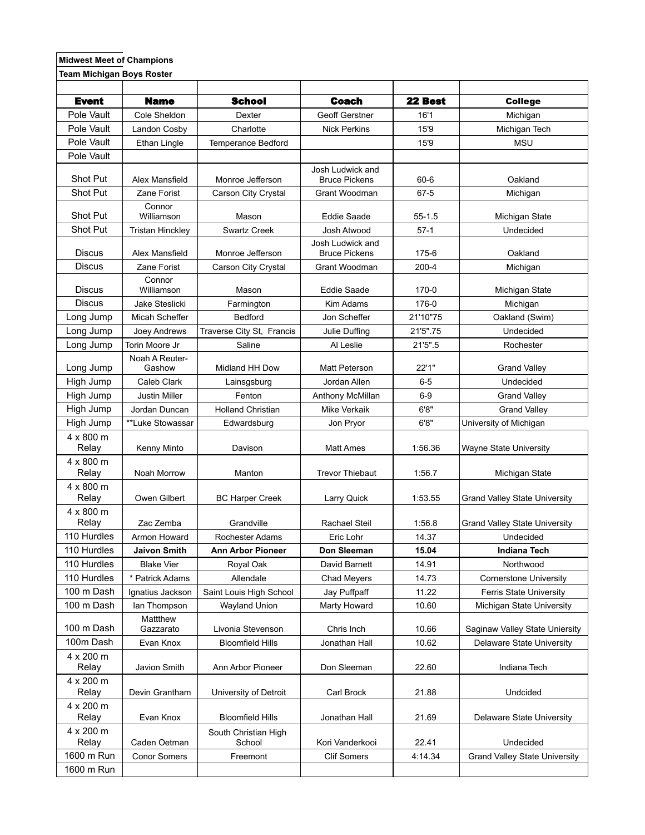## **Midwest Meet of Champions**

**Team Michigan Boys Roster** 

| <b>Event</b>              | <b>Name</b>              | <b>School</b>                  | <b>Coach</b>                             | 22 Best    | <b>College</b>                       |
|---------------------------|--------------------------|--------------------------------|------------------------------------------|------------|--------------------------------------|
| Pole Vault                | Cole Sheldon             | Dexter                         | Geoff Gerstner                           | 16'1       | Michigan                             |
| Pole Vault                | Landon Cosby             | Charlotte                      | <b>Nick Perkins</b>                      | 15'9       | Michigan Tech                        |
| Pole Vault                | Ethan Lingle             | <b>Temperance Bedford</b>      |                                          | 15'9       | <b>MSU</b>                           |
| Pole Vault                |                          |                                |                                          |            |                                      |
| Shot Put                  | Alex Mansfield           | Monroe Jefferson               | Josh Ludwick and<br><b>Bruce Pickens</b> | $60 - 6$   | Oakland                              |
| Shot Put                  | Zane Forist              | Carson City Crystal            | Grant Woodman                            | $67 - 5$   | Michigan                             |
| Shot Put                  | Connor<br>Williamson     | Mason                          | Eddie Saade                              | $55 - 1.5$ | Michigan State                       |
| Shot Put                  | <b>Tristan Hinckley</b>  | <b>Swartz Creek</b>            | Josh Atwood                              | $57-1$     | Undecided                            |
| <b>Discus</b>             | Alex Mansfield           | Monroe Jefferson               | Josh Ludwick and<br><b>Bruce Pickens</b> | 175-6      | Oakland                              |
| <b>Discus</b>             | Zane Forist              | Carson City Crystal            | Grant Woodman                            | $200 - 4$  | Michigan                             |
| <b>Discus</b>             | Connor<br>Williamson     | Mason                          | <b>Eddie Saade</b>                       | 170-0      | Michigan State                       |
| <b>Discus</b>             | Jake Steslicki           | Farmington                     | Kim Adams                                | 176-0      | Michigan                             |
| Long Jump                 | Micah Scheffer           | <b>Bedford</b>                 | Jon Scheffer                             | 21'10"75   | Oakland (Swim)                       |
| Long Jump                 | Joey Andrews             | Traverse City St, Francis      | Julie Duffing                            | 21'5".75   | Undecided                            |
| Long Jump                 | Torin Moore Jr           | Saline                         | Al Leslie                                | 21'5".5    | Rochester                            |
| Long Jump                 | Noah A Reuter-<br>Gashow | Midland HH Dow                 | Matt Peterson                            | 22'1"      | <b>Grand Valley</b>                  |
| High Jump                 | Caleb Clark              | Lainsgsburg                    | Jordan Allen                             | $6-5$      | Undecided                            |
| High Jump                 | Justin Miller            | Fenton                         | Anthony McMillan                         | $6-9$      | <b>Grand Valley</b>                  |
| High Jump                 | Jordan Duncan            | <b>Holland Christian</b>       | <b>Mike Verkaik</b>                      | 6'8''      | <b>Grand Valley</b>                  |
| High Jump                 | **Luke Stowassar         | Edwardsburg                    | Jon Pryor                                | 6'8''      | University of Michigan               |
| 4 x 800 m<br>Relay        | Kenny Minto              | Davison                        | <b>Matt Ames</b>                         | 1:56.36    | Wayne State University               |
| $4 \times 800$ m<br>Relay | Noah Morrow              | Manton                         | <b>Trevor Thiebaut</b>                   | 1:56.7     | Michigan State                       |
| $4 \times 800$ m<br>Relay | Owen Gilbert             | <b>BC Harper Creek</b>         | Larry Quick                              | 1:53.55    | <b>Grand Valley State University</b> |
| 4 x 800 m<br>Relay        | Zac Zemba                | Grandville                     | Rachael Steil                            | 1:56.8     | <b>Grand Valley State University</b> |
| 110 Hurdles               | Armon Howard             | Rochester Adams                | Eric Lohr                                | 14.37      | Undecided                            |
| 110 Hurdles               | <b>Jaivon Smith</b>      | Ann Arbor Pioneer              | Don Sleeman                              | 15.04      | <b>Indiana Tech</b>                  |
| 110 Hurdles               | <b>Blake Vier</b>        | Royal Oak                      | David Barnett                            | 14.91      | Northwood                            |
| 110 Hurdles               | <b>Patrick Adams</b>     | Allendale                      | <b>Chad Meyers</b>                       | 14.73      | <b>Cornerstone University</b>        |
| 100 m Dash                | Ignatius Jackson         | Saint Louis High School        | Jay Puffpaff                             | 11.22      | Ferris State University              |
| 100 m Dash                | lan Thompson             | Wayland Union                  | Marty Howard                             | 10.60      | Michigan State University            |
| 100 m Dash                | Mattthew<br>Gazzarato    | Livonia Stevenson              | Chris Inch                               | 10.66      | Saginaw Valley State Uniersity       |
| 100m Dash                 | Evan Knox                | <b>Bloomfield Hills</b>        | Jonathan Hall                            | 10.62      | Delaware State University            |
| 4 x 200 m<br>Relay        | Javion Smith             | Ann Arbor Pioneer              | Don Sleeman                              | 22.60      | Indiana Tech                         |
| 4 x 200 m<br>Relay        | Devin Grantham           | University of Detroit          | Carl Brock                               | 21.88      | Undcided                             |
| 4 x 200 m<br>Relay        | Evan Knox                | <b>Bloomfield Hills</b>        | Jonathan Hall                            | 21.69      | Delaware State University            |
| 4 x 200 m<br>Relay        | Caden Oetman             | South Christian High<br>School | Kori Vanderkooi                          | 22.41      | Undecided                            |
| 1600 m Run                | <b>Conor Somers</b>      | Freemont                       | <b>Clif Somers</b>                       | 4:14.34    | <b>Grand Valley State University</b> |
| 1600 m Run                |                          |                                |                                          |            |                                      |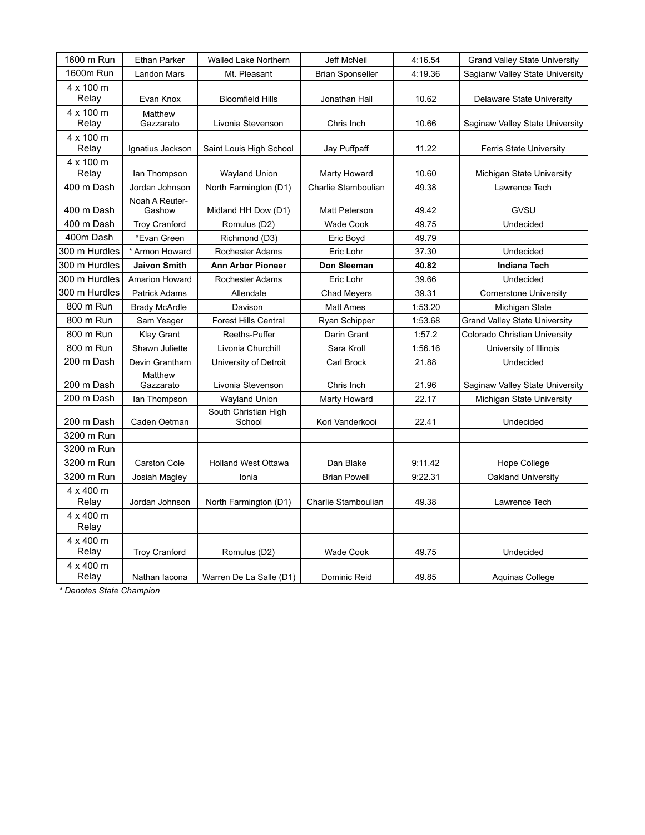| 1600 m Run         | <b>Ethan Parker</b>      | <b>Walled Lake Northern</b>    | <b>Jeff McNeil</b>      | 4:16.54 | <b>Grand Valley State University</b> |
|--------------------|--------------------------|--------------------------------|-------------------------|---------|--------------------------------------|
| 1600m Run          | <b>Landon Mars</b>       | Mt. Pleasant                   | <b>Brian Sponseller</b> | 4:19.36 | Sagianw Valley State University      |
| 4 x 100 m<br>Relay | Evan Knox                | <b>Bloomfield Hills</b>        | Jonathan Hall           | 10.62   | Delaware State University            |
| 4 x 100 m<br>Relay | Matthew<br>Gazzarato     | Livonia Stevenson              | Chris Inch              | 10.66   | Saginaw Valley State University      |
| 4 x 100 m<br>Relay | Ignatius Jackson         | Saint Louis High School        | Jay Puffpaff            | 11.22   | <b>Ferris State University</b>       |
| 4 x 100 m<br>Relay | lan Thompson             | <b>Wayland Union</b>           | Marty Howard            | 10.60   | Michigan State University            |
| 400 m Dash         | Jordan Johnson           | North Farmington (D1)          | Charlie Stamboulian     | 49.38   | Lawrence Tech                        |
| 400 m Dash         | Noah A Reuter-<br>Gashow | Midland HH Dow (D1)            | Matt Peterson           | 49.42   | GVSU                                 |
| 400 m Dash         | <b>Troy Cranford</b>     | Romulus (D2)                   | <b>Wade Cook</b>        | 49.75   | Undecided                            |
| 400m Dash          | *Evan Green              | Richmond (D3)                  | Eric Boyd               | 49.79   |                                      |
| 300 m Hurdles      | * Armon Howard           | <b>Rochester Adams</b>         | Eric Lohr               | 37.30   | Undecided                            |
| 300 m Hurdles      | <b>Jaivon Smith</b>      | <b>Ann Arbor Pioneer</b>       | Don Sleeman             | 40.82   | <b>Indiana Tech</b>                  |
| 300 m Hurdles      | <b>Amarion Howard</b>    | <b>Rochester Adams</b>         | Eric Lohr               | 39.66   | Undecided                            |
| 300 m Hurdles      | <b>Patrick Adams</b>     | Allendale                      | <b>Chad Meyers</b>      | 39.31   | <b>Cornerstone University</b>        |
| 800 m Run          | <b>Brady McArdle</b>     | Davison                        | <b>Matt Ames</b>        | 1:53.20 | Michigan State                       |
| 800 m Run          | Sam Yeager               | Forest Hills Central           | Ryan Schipper           | 1:53.68 | <b>Grand Valley State University</b> |
| 800 m Run          | <b>Klay Grant</b>        | Reeths-Puffer                  | Darin Grant             | 1:57.2  | Colorado Christian University        |
| 800 m Run          | Shawn Juliette           | Livonia Churchill              | Sara Kroll              | 1:56.16 | University of Illinois               |
| 200 m Dash         | Devin Grantham           | University of Detroit          | Carl Brock              | 21.88   | Undecided                            |
| 200 m Dash         | Matthew<br>Gazzarato     | Livonia Stevenson              | Chris Inch              | 21.96   | Saginaw Valley State University      |
| 200 m Dash         | lan Thompson             | <b>Wayland Union</b>           | Marty Howard            | 22.17   | Michigan State University            |
| 200 m Dash         | Caden Oetman             | South Christian High<br>School | Kori Vanderkooi         | 22.41   | Undecided                            |
| 3200 m Run         |                          |                                |                         |         |                                      |
| 3200 m Run         |                          |                                |                         |         |                                      |
| 3200 m Run         | <b>Carston Cole</b>      | <b>Holland West Ottawa</b>     | Dan Blake               | 9:11.42 | Hope College                         |
| 3200 m Run         | Josiah Magley            | Ionia                          | <b>Brian Powell</b>     | 9:22.31 | Oakland University                   |
| 4 x 400 m<br>Relay | Jordan Johnson           | North Farmington (D1)          | Charlie Stamboulian     | 49.38   | Lawrence Tech                        |
| 4 x 400 m<br>Relay |                          |                                |                         |         |                                      |
| 4 x 400 m<br>Relay | <b>Troy Cranford</b>     | Romulus (D2)                   | Wade Cook               | 49.75   | Undecided                            |
| 4 x 400 m<br>Relay | Nathan lacona            | Warren De La Salle (D1)        | Dominic Reid            | 49.85   | Aquinas College                      |

*\* Denotes State Champion*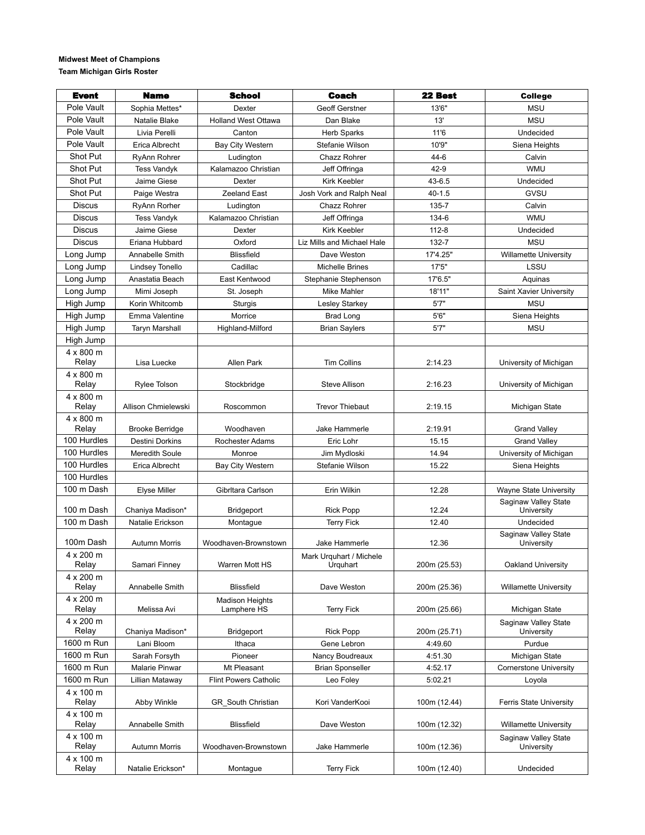## **Midwest Meet of Champions**

**Team Michigan Girls Roster** 

| <b>Event</b>       | Name                   | <b>School</b>                | <b>Coach</b>                        | 22 Best      | <b>College</b>                     |
|--------------------|------------------------|------------------------------|-------------------------------------|--------------|------------------------------------|
| Pole Vault         | Sophia Mettes*         | Dexter                       | <b>Geoff Gerstner</b>               | 13'6"        | <b>MSU</b>                         |
| Pole Vault         | <b>Natalie Blake</b>   | <b>Holland West Ottawa</b>   | Dan Blake                           | 13'          | <b>MSU</b>                         |
| Pole Vault         | Livia Perelli          | Canton                       | <b>Herb Sparks</b>                  | 11'6         | Undecided                          |
| Pole Vault         | Erica Albrecht         | <b>Bay City Western</b>      | Stefanie Wilson                     | 10'9"        | Siena Heights                      |
| Shot Put           | RyAnn Rohrer           | Ludington                    | Chazz Rohrer                        | $44-6$       | Calvin                             |
| Shot Put           | <b>Tess Vandyk</b>     | Kalamazoo Christian          | Jeff Offringa                       | $42 - 9$     | <b>WMU</b>                         |
| Shot Put           | Jaime Giese            | Dexter                       | <b>Kirk Keebler</b>                 | 43-6.5       | Undecided                          |
| Shot Put           | Paige Westra           | Zeeland East                 | Josh Vork and Ralph Neal            | $40 - 1.5$   | GVSU                               |
| <b>Discus</b>      | RyAnn Rorher           | Ludington                    | Chazz Rohrer                        | 135-7        | Calvin                             |
| <b>Discus</b>      | <b>Tess Vandyk</b>     | Kalamazoo Christian          | Jeff Offringa                       | 134-6        | <b>WMU</b>                         |
| <b>Discus</b>      | Jaime Giese            | Dexter                       | <b>Kirk Keebler</b>                 | $112 - 8$    | Undecided                          |
| <b>Discus</b>      | Eriana Hubbard         | Oxford                       | Liz Mills and Michael Hale          | 132-7        | <b>MSU</b>                         |
| Long Jump          | Annabelle Smith        | <b>Blissfield</b>            | Dave Weston                         | 17'4.25"     | <b>Willamette University</b>       |
| Long Jump          | Lindsey Tonello        | Cadillac                     | <b>Michelle Brines</b>              | 17'5"        | LSSU                               |
| Long Jump          | Anastatia Beach        | East Kentwood                | Stephanie Stephenson                | 17'6.5"      | Aquinas                            |
| Long Jump          | Mimi Joseph            | St. Joseph                   | <b>Mike Mahler</b>                  | 18'11"       | Saint Xavier University            |
| High Jump          | Korin Whitcomb         | Sturgis                      | Lesley Starkey                      | 5'7''        | <b>MSU</b>                         |
| High Jump          | Emma Valentine         | Morrice                      | <b>Brad Long</b>                    | 5'6''        | Siena Heights                      |
| High Jump          | <b>Taryn Marshall</b>  | Highland-Milford             | <b>Brian Saylers</b>                | 5'7''        | <b>MSU</b>                         |
| High Jump          |                        |                              |                                     |              |                                    |
| 4 x 800 m          |                        |                              |                                     |              |                                    |
| Relay              | Lisa Luecke            | Allen Park                   | <b>Tim Collins</b>                  | 2:14.23      | University of Michigan             |
| 4 x 800 m          |                        |                              |                                     |              |                                    |
| Relay              | Rylee Tolson           | Stockbridge                  | <b>Steve Allison</b>                | 2:16.23      | University of Michigan             |
| 4 x 800 m          |                        |                              |                                     |              |                                    |
| Relay              | Allison Chmielewski    | Roscommon                    | <b>Trevor Thiebaut</b>              | 2:19.15      | Michigan State                     |
| 4 x 800 m<br>Relay | <b>Brooke Berridge</b> | Woodhaven                    | Jake Hammerle                       | 2:19.91      | <b>Grand Valley</b>                |
| 100 Hurdles        | Destini Dorkins        | <b>Rochester Adams</b>       | Eric Lohr                           | 15.15        | <b>Grand Valley</b>                |
| 100 Hurdles        | Meredith Soule         | Monroe                       | Jim Mydloski                        | 14.94        | University of Michigan             |
| 100 Hurdles        | Erica Albrecht         | <b>Bay City Western</b>      | Stefanie Wilson                     | 15.22        | Siena Heights                      |
| 100 Hurdles        |                        |                              |                                     |              |                                    |
| 100 m Dash         | <b>Elyse Miller</b>    | Gibrltara Carlson            | Erin Wilkin                         | 12.28        | Wayne State University             |
|                    |                        |                              |                                     |              | Saginaw Valley State               |
| 100 m Dash         | Chaniya Madison*       | <b>Bridgeport</b>            | <b>Rick Popp</b>                    | 12.24        | University                         |
| 100 m Dash         | Natalie Erickson       | Montague                     | <b>Terry Fick</b>                   | 12.40        | Undecided                          |
|                    |                        |                              |                                     |              | Saginaw Valley State               |
| 100m Dash          | <b>Autumn Morris</b>   | Woodhaven-Brownstown         | Jake Hammerle                       | 12.36        | University                         |
| 4 x 200 m<br>Relay | Samari Finney          | Warren Mott HS               | Mark Urguhart / Michele<br>Urquhart | 200m (25.53) | Oakland University                 |
| 4 x 200 m          |                        |                              |                                     |              |                                    |
| Relay              | Annabelle Smith        | <b>Blissfield</b>            | Dave Weston                         | 200m (25.36) | <b>Willamette University</b>       |
| 4 x 200 m          |                        | <b>Madison Heights</b>       |                                     |              |                                    |
| Relay              | Melissa Avi            | Lamphere HS                  | <b>Terry Fick</b>                   | 200m (25.66) | Michigan State                     |
| 4 x 200 m          |                        |                              |                                     |              | Saginaw Valley State               |
| Relay              | Chaniya Madison*       | Bridgeport                   | <b>Rick Popp</b>                    | 200m (25.71) | University                         |
| 1600 m Run         | Lani Bloom             | Ithaca                       | Gene Lebron                         | 4:49.60      | Purdue                             |
| 1600 m Run         | Sarah Forsyth          | Pioneer                      | Nancy Boudreaux                     | 4:51.30      | Michigan State                     |
| 1600 m Run         | Malarie Pinwar         | Mt Pleasant                  | <b>Brian Sponseller</b>             | 4:52.17      | <b>Cornerstone University</b>      |
| 1600 m Run         | Lillian Mataway        | <b>Flint Powers Catholic</b> | Leo Foley                           | 5:02.21      | Loyola                             |
| 4 x 100 m          |                        |                              |                                     |              |                                    |
| Relay              | Abby Winkle            | GR South Christian           | Kori VanderKooi                     | 100m (12.44) | Ferris State University            |
| 4 x 100 m<br>Relay | Annabelle Smith        | <b>Blissfield</b>            | Dave Weston                         | 100m (12.32) | <b>Willamette University</b>       |
| 4 x 100 m          |                        |                              |                                     |              |                                    |
| Relay              | <b>Autumn Morris</b>   | Woodhaven-Brownstown         | Jake Hammerle                       | 100m (12.36) | Saginaw Valley State<br>University |
| 4 x 100 m<br>Relay | Natalie Erickson*      | Montague                     | <b>Terry Fick</b>                   | 100m (12.40) | Undecided                          |